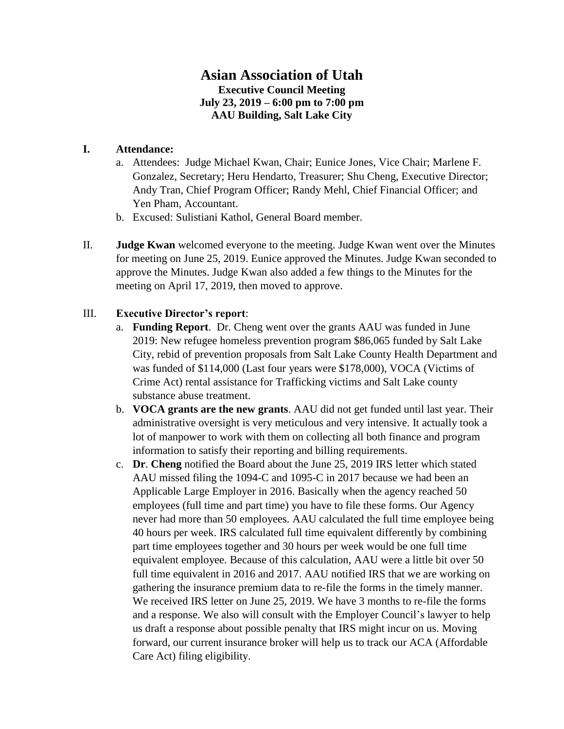## **Asian Association of Utah Executive Council Meeting July 23, 2019 – 6:00 pm to 7:00 pm AAU Building, Salt Lake City**

## **I. Attendance:**

- a. Attendees: Judge Michael Kwan, Chair; Eunice Jones, Vice Chair; Marlene F. Gonzalez, Secretary; Heru Hendarto, Treasurer; Shu Cheng, Executive Director; Andy Tran, Chief Program Officer; Randy Mehl, Chief Financial Officer; and Yen Pham, Accountant.
- b. Excused: Sulistiani Kathol, General Board member.
- II. **Judge Kwan** welcomed everyone to the meeting. Judge Kwan went over the Minutes for meeting on June 25, 2019. Eunice approved the Minutes. Judge Kwan seconded to approve the Minutes. Judge Kwan also added a few things to the Minutes for the meeting on April 17, 2019, then moved to approve.

## III. **Executive Director's report**:

- a. **Funding Report**. Dr. Cheng went over the grants AAU was funded in June 2019: New refugee homeless prevention program \$86,065 funded by Salt Lake City, rebid of prevention proposals from Salt Lake County Health Department and was funded of \$114,000 (Last four years were \$178,000), VOCA (Victims of Crime Act) rental assistance for Trafficking victims and Salt Lake county substance abuse treatment.
- b. **VOCA grants are the new grants**. AAU did not get funded until last year. Their administrative oversight is very meticulous and very intensive. It actually took a lot of manpower to work with them on collecting all both finance and program information to satisfy their reporting and billing requirements.
- c. **Dr**. **Cheng** notified the Board about the June 25, 2019 IRS letter which stated AAU missed filing the 1094-C and 1095-C in 2017 because we had been an Applicable Large Employer in 2016. Basically when the agency reached 50 employees (full time and part time) you have to file these forms. Our Agency never had more than 50 employees. AAU calculated the full time employee being 40 hours per week. IRS calculated full time equivalent differently by combining part time employees together and 30 hours per week would be one full time equivalent employee. Because of this calculation, AAU were a little bit over 50 full time equivalent in 2016 and 2017. AAU notified IRS that we are working on gathering the insurance premium data to re-file the forms in the timely manner. We received IRS letter on June 25, 2019. We have 3 months to re-file the forms and a response. We also will consult with the Employer Council's lawyer to help us draft a response about possible penalty that IRS might incur on us. Moving forward, our current insurance broker will help us to track our ACA (Affordable Care Act) filing eligibility.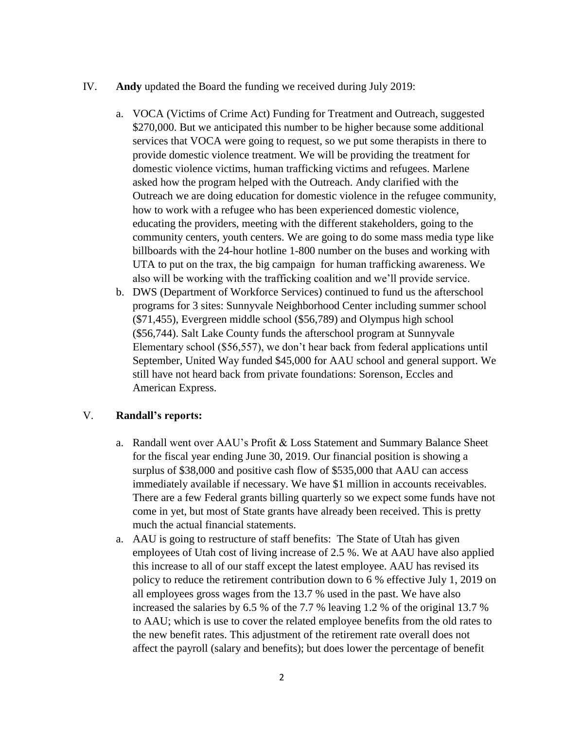- IV. **Andy** updated the Board the funding we received during July 2019:
	- a. VOCA (Victims of Crime Act) Funding for Treatment and Outreach, suggested \$270,000. But we anticipated this number to be higher because some additional services that VOCA were going to request, so we put some therapists in there to provide domestic violence treatment. We will be providing the treatment for domestic violence victims, human trafficking victims and refugees. Marlene asked how the program helped with the Outreach. Andy clarified with the Outreach we are doing education for domestic violence in the refugee community, how to work with a refugee who has been experienced domestic violence, educating the providers, meeting with the different stakeholders, going to the community centers, youth centers. We are going to do some mass media type like billboards with the 24-hour hotline 1-800 number on the buses and working with UTA to put on the trax, the big campaign for human trafficking awareness. We also will be working with the trafficking coalition and we'll provide service.
	- b. DWS (Department of Workforce Services) continued to fund us the afterschool programs for 3 sites: Sunnyvale Neighborhood Center including summer school (\$71,455), Evergreen middle school (\$56,789) and Olympus high school (\$56,744). Salt Lake County funds the afterschool program at Sunnyvale Elementary school (\$56,557), we don't hear back from federal applications until September, United Way funded \$45,000 for AAU school and general support. We still have not heard back from private foundations: Sorenson, Eccles and American Express.

## V. **Randall's reports:**

- a. Randall went over AAU's Profit & Loss Statement and Summary Balance Sheet for the fiscal year ending June 30, 2019. Our financial position is showing a surplus of \$38,000 and positive cash flow of \$535,000 that AAU can access immediately available if necessary. We have \$1 million in accounts receivables. There are a few Federal grants billing quarterly so we expect some funds have not come in yet, but most of State grants have already been received. This is pretty much the actual financial statements.
- a. AAU is going to restructure of staff benefits: The State of Utah has given employees of Utah cost of living increase of 2.5 %. We at AAU have also applied this increase to all of our staff except the latest employee. AAU has revised its policy to reduce the retirement contribution down to 6 % effective July 1, 2019 on all employees gross wages from the 13.7 % used in the past. We have also increased the salaries by 6.5 % of the 7.7 % leaving 1.2 % of the original 13.7 % to AAU; which is use to cover the related employee benefits from the old rates to the new benefit rates. This adjustment of the retirement rate overall does not affect the payroll (salary and benefits); but does lower the percentage of benefit